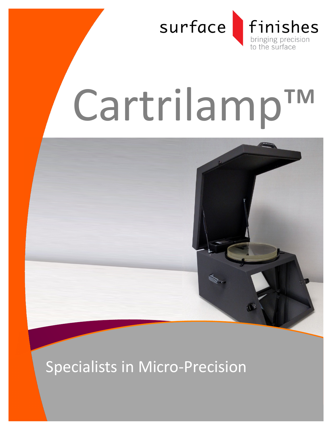

# Cartrilamp™



## Specialists in Micro-Precision